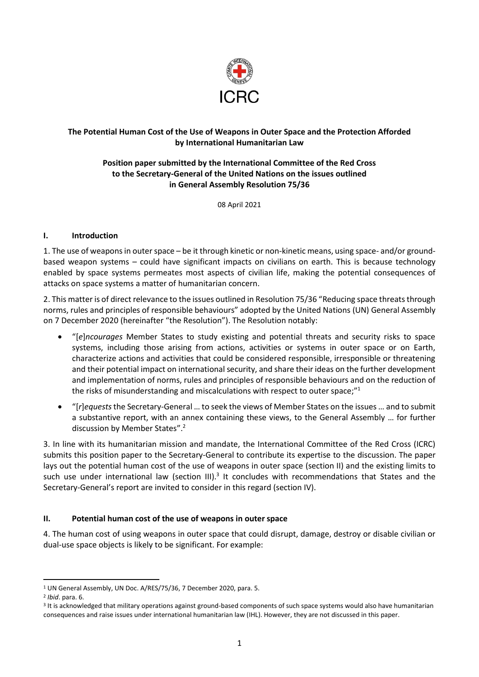

# **The Potential Human Cost of the Use of Weapons in Outer Space and the Protection Afforded by International Humanitarian Law**

# **Position paper submitted by the International Committee of the Red Cross to the Secretary-General of the United Nations on the issues outlined in General Assembly Resolution 75/36**

08 April 2021

#### **I. Introduction**

1. The use of weaponsin outer space – be it through kinetic or non-kinetic means, using space- and/or groundbased weapon systems – could have significant impacts on civilians on earth. This is because technology enabled by space systems permeates most aspects of civilian life, making the potential consequences of attacks on space systems a matter of humanitarian concern.

2. This matter is of direct relevance to the issues outlined in Resolution 75/36 "Reducing space threats through norms, rules and principles of responsible behaviours" adopted by the United Nations (UN) General Assembly on 7 December 2020 (hereinafter "the Resolution"). The Resolution notably:

- "[*e*]*ncourages* Member States to study existing and potential threats and security risks to space systems, including those arising from actions, activities or systems in outer space or on Earth, characterize actions and activities that could be considered responsible, irresponsible or threatening and their potential impact on international security, and share their ideas on the further development and implementation of norms, rules and principles of responsible behaviours and on the reduction of the risks of misunderstanding and miscalculations with respect to outer space;"<sup>1</sup>
- "[*r*]*equests* the Secretary-General … to seek the views of Member States on the issues … and to submit a substantive report, with an annex containing these views, to the General Assembly … for further discussion by Member States".<sup>2</sup>

3. In line with its humanitarian mission and mandate, the International Committee of the Red Cross (ICRC) submits this position paper to the Secretary-General to contribute its expertise to the discussion. The paper lays out the potential human cost of the use of weapons in outer space (section II) and the existing limits to such use under international law (section III).<sup>3</sup> It concludes with recommendations that States and the Secretary-General's report are invited to consider in this regard (section IV).

### **II. Potential human cost of the use of weapons in outer space**

4. The human cost of using weapons in outer space that could disrupt, damage, destroy or disable civilian or dual-use space objects is likely to be significant. For example:

 $\overline{a}$ 

<sup>1</sup> UN General Assembly, UN Doc. A/RES/75/36, 7 December 2020, para. 5.

<sup>2</sup> *Ibid*. para. 6.

<sup>3</sup> It is acknowledged that military operations against ground-based components of such space systems would also have humanitarian consequences and raise issues under international humanitarian law (IHL). However, they are not discussed in this paper.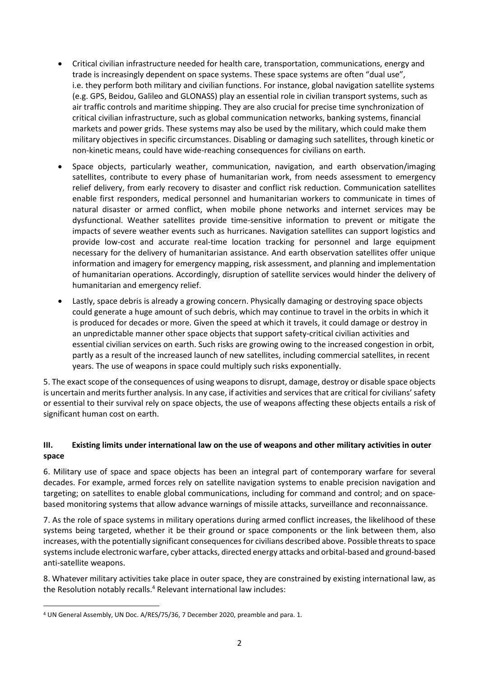- Critical civilian infrastructure needed for health care, transportation, communications, energy and trade is increasingly dependent on space systems. These space systems are often "dual use", i.e. they perform both military and civilian functions. For instance, global navigation satellite systems (e.g. GPS, Beidou, Galileo and GLONASS) play an essential role in civilian transport systems, such as air traffic controls and maritime shipping. They are also crucial for precise time synchronization of critical civilian infrastructure, such as global communication networks, banking systems, financial markets and power grids. These systems may also be used by the military, which could make them military objectives in specific circumstances. Disabling or damaging such satellites, through kinetic or non-kinetic means, could have wide-reaching consequences for civilians on earth.
- Space objects, particularly weather, communication, navigation, and earth observation/imaging satellites, contribute to every phase of humanitarian work, from needs assessment to emergency relief delivery, from early recovery to disaster and conflict risk reduction. Communication satellites enable first responders, medical personnel and humanitarian workers to communicate in times of natural disaster or armed conflict, when mobile phone networks and internet services may be dysfunctional. Weather satellites provide time-sensitive information to prevent or mitigate the impacts of severe weather events such as hurricanes. Navigation satellites can support logistics and provide low-cost and accurate real-time location tracking for personnel and large equipment necessary for the delivery of humanitarian assistance. And earth observation satellites offer unique information and imagery for emergency mapping, risk assessment, and planning and implementation of humanitarian operations. Accordingly, disruption of satellite services would hinder the delivery of humanitarian and emergency relief.
- Lastly, space debris is already a growing concern. Physically damaging or destroying space objects could generate a huge amount of such debris, which may continue to travel in the orbits in which it is produced for decades or more. Given the speed at which it travels, it could damage or destroy in an unpredictable manner other space objects that support safety-critical civilian activities and essential civilian services on earth. Such risks are growing owing to the increased congestion in orbit, partly as a result of the increased launch of new satellites, including commercial satellites, in recent years. The use of weapons in space could multiply such risks exponentially.

5. The exact scope of the consequences of using weapons to disrupt, damage, destroy or disable space objects is uncertain and merits further analysis. In any case, if activities and services that are critical for civilians' safety or essential to their survival rely on space objects, the use of weapons affecting these objects entails a risk of significant human cost on earth.

# **III. Existing limits under international law on the use of weapons and other military activities in outer space**

6. Military use of space and space objects has been an integral part of contemporary warfare for several decades. For example, armed forces rely on satellite navigation systems to enable precision navigation and targeting; on satellites to enable global communications, including for command and control; and on spacebased monitoring systems that allow advance warnings of missile attacks, surveillance and reconnaissance.

7. As the role of space systems in military operations during armed conflict increases, the likelihood of these systems being targeted, whether it be their ground or space components or the link between them, also increases, with the potentially significant consequences for civilians described above. Possible threats to space systems include electronic warfare, cyber attacks, directed energy attacks and orbital-based and ground-based anti-satellite weapons.

8. Whatever military activities take place in outer space, they are constrained by existing international law, as the Resolution notably recalls.<sup>4</sup> Relevant international law includes:

1

<sup>4</sup> UN General Assembly, UN Doc. A/RES/75/36, 7 December 2020, preamble and para. 1.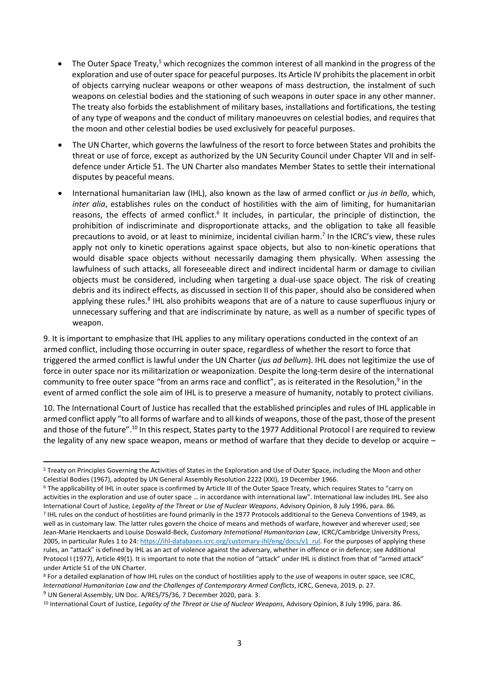- The Outer Space Treaty,<sup>5</sup> which recognizes the common interest of all mankind in the progress of the exploration and use of outer space for peaceful purposes. Its Article IV prohibits the placement in orbit of objects carrying nuclear weapons or other weapons of mass destruction, the instalment of such weapons on celestial bodies and the stationing of such weapons in outer space in any other manner. The treaty also forbids the establishment of military bases, installations and fortifications, the testing of any type of weapons and the conduct of military manoeuvres on celestial bodies, and requires that the moon and other celestial bodies be used exclusively for peaceful purposes.
- The UN Charter, which governs the lawfulness of the resort to force between States and prohibits the threat or use of force, except as authorized by the UN Security Council under Chapter VII and in selfdefence under Article 51. The UN Charter also mandates Member States to settle their international disputes by peaceful means.
- International humanitarian law (IHL), also known as the law of armed conflict or *jus in bello*, which, *inter alia*, establishes rules on the conduct of hostilities with the aim of limiting, for humanitarian reasons, the effects of armed conflict.<sup>6</sup> It includes, in particular, the principle of distinction, the prohibition of indiscriminate and disproportionate attacks, and the obligation to take all feasible precautions to avoid, or at least to minimize, incidental civilian harm.<sup>7</sup> In the ICRC's view, these rules apply not only to kinetic operations against space objects, but also to non-kinetic operations that would disable space objects without necessarily damaging them physically. When assessing the lawfulness of such attacks, all foreseeable direct and indirect incidental harm or damage to civilian objects must be considered, including when targeting a dual-use space object. The risk of creating debris and its indirect effects, as discussed in section II of this paper, should also be considered when applying these rules.<sup>8</sup> IHL also prohibits weapons that are of a nature to cause superfluous injury or unnecessary suffering and that are indiscriminate by nature, as well as a number of specific types of weapon.

9. It is important to emphasize that IHL applies to any military operations conducted in the context of an armed conflict, including those occurring in outer space, regardless of whether the resort to force that triggered the armed conflict is lawful under the UN Charter (*jus ad bellum*). IHL does not legitimize the use of force in outer space nor its militarization or weaponization. Despite the long-term desire of the international community to free outer space "from an arms race and conflict", as is reiterated in the Resolution,<sup>9</sup> in the event of armed conflict the sole aim of IHL is to preserve a measure of humanity, notably to protect civilians.

10. The International Court of Justice has recalled that the established principles and rules of IHL applicable in armed conflict apply "to all forms of warfare and to all kinds of weapons, those of the past, those of the present and those of the future".<sup>10</sup> In this respect, States party to the 1977 Additional Protocol I are required to review the legality of any new space weapon, means or method of warfare that they decide to develop or acquire –

**<sup>.</sup>** <sup>5</sup> Treaty on Principles Governing the Activities of States in the Exploration and Use of Outer Space, including the Moon and other Celestial Bodies (1967), adopted by UN General Assembly Resolution 2222 (XXI), 19 December 1966.

<sup>6</sup> The applicability of IHL in outer space is confirmed by Article III of the Outer Space Treaty, which requires States to "carry on activities in the exploration and use of outer space … in accordance with international law". International law includes IHL. See also International Court of Justice, *Legality of the Threat or Use of Nuclear Weapons*, Advisory Opinion, 8 July 1996, para. 86.

<sup>7</sup> IHL rules on the conduct of hostilities are found primarily in the 1977 Protocols additional to the Geneva Conventions of 1949, as well as in customary law. The latter rules govern the choice of means and methods of warfare, however and wherever used; see Jean-Marie Henckaerts and Louise Doswald-Beck, *Customary International Humanitarian Law*, ICRC/Cambridge University Press, 2005, in particular Rules 1 to 24: [https://ihl-databases.icrc.org/customary-ihl/eng/docs/v1\\_rul.](https://ihl-databases.icrc.org/customary-ihl/eng/docs/v1_rul) For the purposes of applying these rules, an "attack" is defined by IHL as an act of violence against the adversary, whether in offence or in defence; see Additional Protocol I (1977), Article 49(1). It is important to note that the notion of "attack" under IHL is distinct from that of "armed attack" under Article 51 of the UN Charter.

<sup>8</sup> For a detailed explanation of how IHL rules on the conduct of hostilities apply to the use of weapons in outer space, see ICRC, *International Humanitarian Law and the Challenges of Contemporary Armed Conflicts*, ICRC, Geneva, 2019, p. 27. <sup>9</sup> UN General Assembly, UN Doc. A/RES/75/36, 7 December 2020, para. 3.

<sup>10</sup> International Court of Justice, *Legality of the Threat or Use of Nuclear Weapons*, Advisory Opinion, 8 July 1996, para. 86.